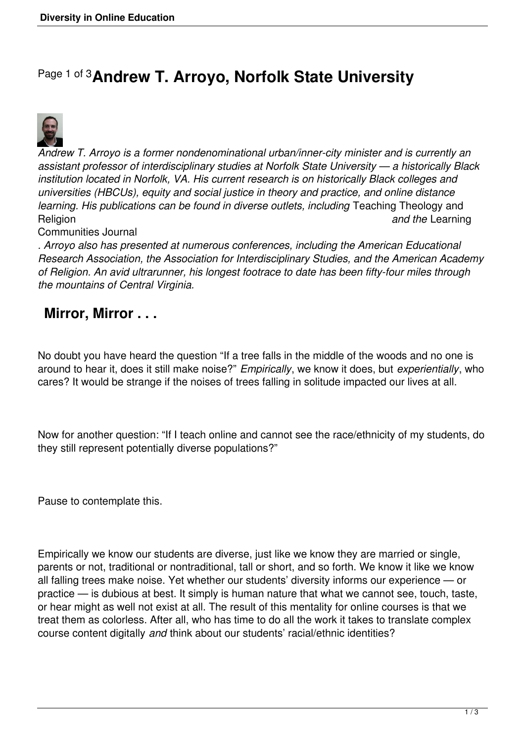## Page 1 of 3**Andrew T. Arroyo, Norfolk State University**



*Andrew T. Arroyo is a former nondenominational urban/inner-city minister and is currently an assistant professor of interdisciplinary studies at Norfolk State University — a historically Black institution located in Norfolk, VA. His current research is on historically Black colleges and universities (HBCUs), equity and social justice in theory and practice, and online distance learning. His publications can be found in diverse outlets, including* Teaching Theology and Religion *and the* Learning

Communities Journal

*. Arroyo also has presented at numerous conferences, including the American Educational Research Association, the Association for Interdisciplinary Studies, and the American Academy of Religion. An avid ultrarunner, his longest footrace to date has been fifty-four miles through the mountains of Central Virginia.*

## **Mirror, Mirror . . .**

No doubt you have heard the question "If a tree falls in the middle of the woods and no one is around to hear it, does it still make noise?" *Empirically*, we know it does, but *experientially*, who cares? It would be strange if the noises of trees falling in solitude impacted our lives at all.

Now for another question: "If I teach online and cannot see the race/ethnicity of my students, do they still represent potentially diverse populations?"

Pause to contemplate this.

Empirically we know our students are diverse, just like we know they are married or single, parents or not, traditional or nontraditional, tall or short, and so forth. We know it like we know all falling trees make noise. Yet whether our students' diversity informs our experience — or practice — is dubious at best. It simply is human nature that what we cannot see, touch, taste, or hear might as well not exist at all. The result of this mentality for online courses is that we treat them as colorless. After all, who has time to do all the work it takes to translate complex course content digitally *and* think about our students' racial/ethnic identities?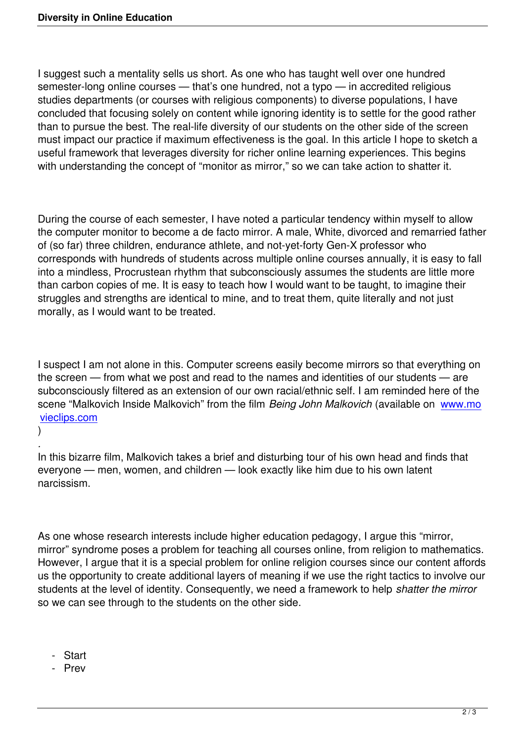I suggest such a mentality sells us short. As one who has taught well over one hundred semester-long online courses — that's one hundred, not a typo — in accredited religious studies departments (or courses with religious components) to diverse populations, I have concluded that focusing solely on content while ignoring identity is to settle for the good rather than to pursue the best. The real-life diversity of our students on the other side of the screen must impact our practice if maximum effectiveness is the goal. In this article I hope to sketch a useful framework that leverages diversity for richer online learning experiences. This begins with understanding the concept of "monitor as mirror," so we can take action to shatter it.

During the course of each semester, I have noted a particular tendency within myself to allow the computer monitor to become a de facto mirror. A male, White, divorced and remarried father of (so far) three children, endurance athlete, and not-yet-forty Gen-X professor who corresponds with hundreds of students across multiple online courses annually, it is easy to fall into a mindless, Procrustean rhythm that subconsciously assumes the students are little more than carbon copies of me. It is easy to teach how I would want to be taught, to imagine their struggles and strengths are identical to mine, and to treat them, quite literally and not just morally, as I would want to be treated.

I suspect I am not alone in this. Computer screens easily become mirrors so that everything on the screen — from what we post and read to the names and identities of our students — are subconsciously filtered as an extension of our own racial/ethnic self. I am reminded here of the scene "Malkovich Inside Malkovich" from the film *Being John Malkovich* (available on www.mo vieclips.com

) *.*

[In this bizarre](http://www.movieclips.com) film, Malkovich takes a brief and disturbing tour of his own head and fin[ds that](http://www.movieclips.com) everyone — men, women, and children — look exactly like him due to his own latent narcissism.

As one whose research interests include higher education pedagogy, I argue this "mirror, mirror" syndrome poses a problem for teaching all courses online, from religion to mathematics. However, I argue that it is a special problem for online religion courses since our content affords us the opportunity to create additional layers of meaning if we use the right tactics to involve our students at the level of identity. Consequently, we need a framework to help *shatter the mirror* so we can see through to the students on the other side.

- Start
- Prev